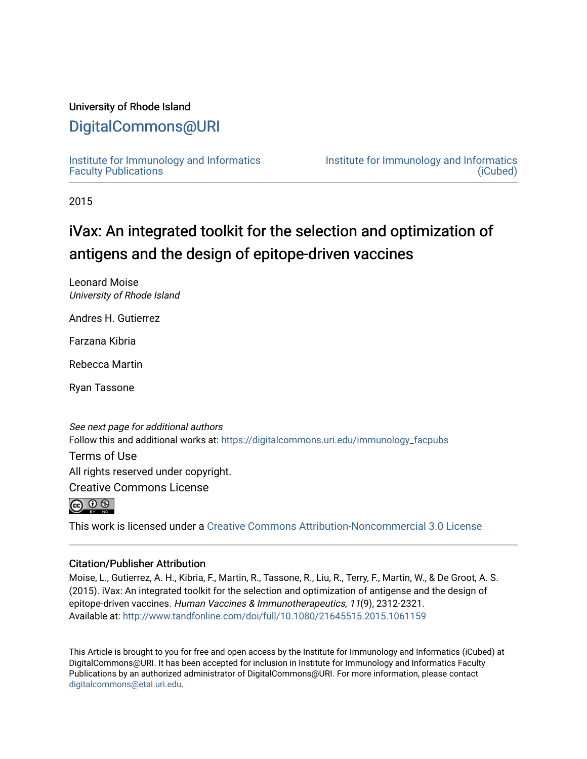# University of Rhode Island

# [DigitalCommons@URI](https://digitalcommons.uri.edu/)

[Institute for Immunology and Informatics](https://digitalcommons.uri.edu/immunology_facpubs) [Faculty Publications](https://digitalcommons.uri.edu/immunology_facpubs)

[Institute for Immunology and Informatics](https://digitalcommons.uri.edu/immunology)  [\(iCubed\)](https://digitalcommons.uri.edu/immunology) 

2015

# iVax: An integrated toolkit for the selection and optimization of antigens and the design of epitope-driven vaccines

Leonard Moise University of Rhode Island

Andres H. Gutierrez

Farzana Kibria

Rebecca Martin

Ryan Tassone

See next page for additional authors Follow this and additional works at: [https://digitalcommons.uri.edu/immunology\\_facpubs](https://digitalcommons.uri.edu/immunology_facpubs?utm_source=digitalcommons.uri.edu%2Fimmunology_facpubs%2F64&utm_medium=PDF&utm_campaign=PDFCoverPages) Terms of Use

All rights reserved under copyright.

Creative Commons License



This work is licensed under a [Creative Commons Attribution-Noncommercial 3.0 License](https://creativecommons.org/licenses/by-nc/3.0/)

# Citation/Publisher Attribution

Moise, L., Gutierrez, A. H., Kibria, F., Martin, R., Tassone, R., Liu, R., Terry, F., Martin, W., & De Groot, A. S. (2015). iVax: An integrated toolkit for the selection and optimization of antigense and the design of epitope-driven vaccines. Human Vaccines & Immunotherapeutics, 11(9), 2312-2321. Available at:<http://www.tandfonline.com/doi/full/10.1080/21645515.2015.1061159>

This Article is brought to you for free and open access by the Institute for Immunology and Informatics (iCubed) at DigitalCommons@URI. It has been accepted for inclusion in Institute for Immunology and Informatics Faculty Publications by an authorized administrator of DigitalCommons@URI. For more information, please contact [digitalcommons@etal.uri.edu](mailto:digitalcommons@etal.uri.edu).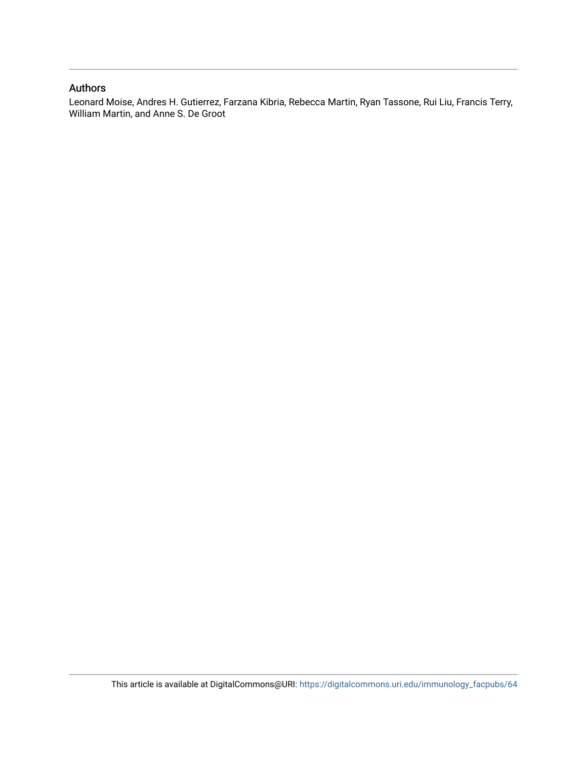## Authors

Leonard Moise, Andres H. Gutierrez, Farzana Kibria, Rebecca Martin, Ryan Tassone, Rui Liu, Francis Terry, William Martin, and Anne S. De Groot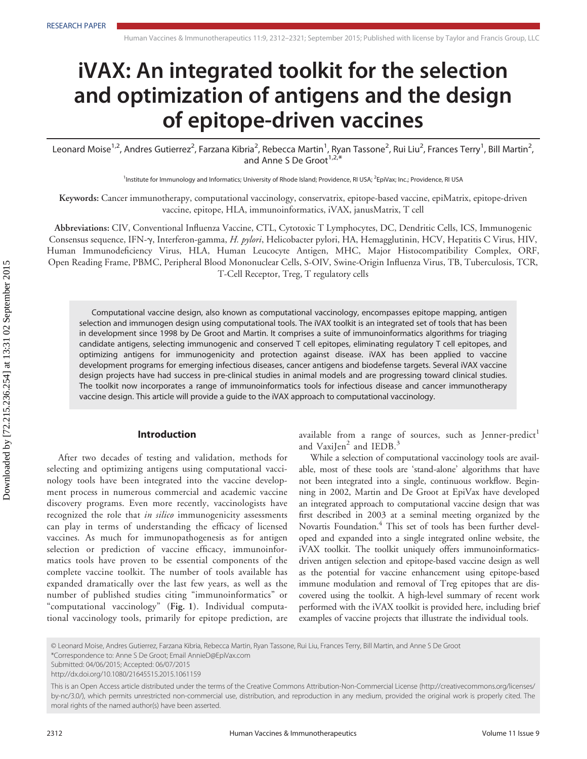# iVAX: An integrated toolkit for the selection and optimization of antigens and the design of epitope-driven vaccines

Leonard Moise<sup>1,2</sup>, Andres Gutierrez<sup>2</sup>, Farzana Kibria<sup>2</sup>, Rebecca Martin<sup>1</sup>, Ryan Tassone<sup>2</sup>, Rui Liu<sup>2</sup>, Frances Terry<sup>1</sup>, Bill Martin<sup>2</sup> , and Anne S De Groot $1,2,*$ 

<sup>1</sup>Institute for Immunology and Informatics; University of Rhode Island; Providence, RI USA; <sup>2</sup>EpiVax; Inc.; Providence, RI USA

Keywords: Cancer immunotherapy, computational vaccinology, conservatrix, epitope-based vaccine, epiMatrix, epitope-driven vaccine, epitope, HLA, immunoinformatics, iVAX, janusMatrix, T cell

Abbreviations: CIV, Conventional Influenza Vaccine, CTL, Cytotoxic T Lymphocytes, DC, Dendritic Cells, ICS, Immunogenic Consensus sequence, IFN-y, Interferon-gamma, H. pylori, Helicobacter pylori, HA, Hemagglutinin, HCV, Hepatitis C Virus, HIV, Human Immunodeficiency Virus, HLA, Human Leucocyte Antigen, MHC, Major Histocompatibility Complex, ORF, Open Reading Frame, PBMC, Peripheral Blood Mononuclear Cells, S-OIV, Swine-Origin Influenza Virus, TB, Tuberculosis, TCR, T-Cell Receptor, Treg, T regulatory cells

Computational vaccine design, also known as computational vaccinology, encompasses epitope mapping, antigen selection and immunogen design using computational tools. The iVAX toolkit is an integrated set of tools that has been in development since 1998 by De Groot and Martin. It comprises a suite of immunoinformatics algorithms for triaging candidate antigens, selecting immunogenic and conserved T cell epitopes, eliminating regulatory T cell epitopes, and optimizing antigens for immunogenicity and protection against disease. iVAX has been applied to vaccine development programs for emerging infectious diseases, cancer antigens and biodefense targets. Several iVAX vaccine design projects have had success in pre-clinical studies in animal models and are progressing toward clinical studies. The toolkit now incorporates a range of immunoinformatics tools for infectious disease and cancer immunotherapy vaccine design. This article will provide a guide to the iVAX approach to computational vaccinology.

#### Introduction

After two decades of testing and validation, methods for selecting and optimizing antigens using computational vaccinology tools have been integrated into the vaccine development process in numerous commercial and academic vaccine discovery programs. Even more recently, vaccinologists have recognized the role that *in silico* immunogenicity assessments can play in terms of understanding the efficacy of licensed vaccines. As much for immunopathogenesis as for antigen selection or prediction of vaccine efficacy, immunoinformatics tools have proven to be essential components of the complete vaccine toolkit. The number of tools available has expanded dramatically over the last few years, as well as the number of published studies citing "immunoinformatics" or "computational vaccinology" (Fig. 1). Individual computational vaccinology tools, primarily for epitope prediction, are available from a range of sources, such as Jenner-predict<sup>1</sup> and VaxiJen<sup>2</sup> and IEDB.<sup>3</sup>

While a selection of computational vaccinology tools are available, most of these tools are 'stand-alone' algorithms that have not been integrated into a single, continuous workflow. Beginning in 2002, Martin and De Groot at EpiVax have developed an integrated approach to computational vaccine design that was first described in 2003 at a seminal meeting organized by the Novartis Foundation.<sup>4</sup> This set of tools has been further developed and expanded into a single integrated online website, the iVAX toolkit. The toolkit uniquely offers immunoinformaticsdriven antigen selection and epitope-based vaccine design as well as the potential for vaccine enhancement using epitope-based immune modulation and removal of Treg epitopes that are discovered using the toolkit. A high-level summary of recent work performed with the iVAX toolkit is provided here, including brief examples of vaccine projects that illustrate the individual tools.

<sup>©</sup> Leonard Moise, Andres Gutierrez, Farzana Kibria, Rebecca Martin, Ryan Tassone, Rui Liu, Frances Terry, Bill Martin, and Anne S De Groot

<sup>\*</sup>Correspondence to: Anne S De Groot; Email AnnieD@EpiVax.com

Submitted: 04/06/2015; Accepted: 06/07/2015

http://dx.doi.org/10.1080/21645515.2015.1061159

This is an Open Access article distributed under the terms of the Creative Commons Attribution-Non-Commercial License ([http://creativecommons.org/licenses/](http://creativecommons.org/licenses/by-nc/3.0/) [by-nc/3.0/\), which permits unrestricted non-commercial use, distribution, and reproduction in any medium, provided the original work is properly](http://creativecommons.org/licenses/by-nc/3.0/) cited. The [moral rights of the named author\(s\) have been asserted.](http://creativecommons.org/licenses/by-nc/3.0/)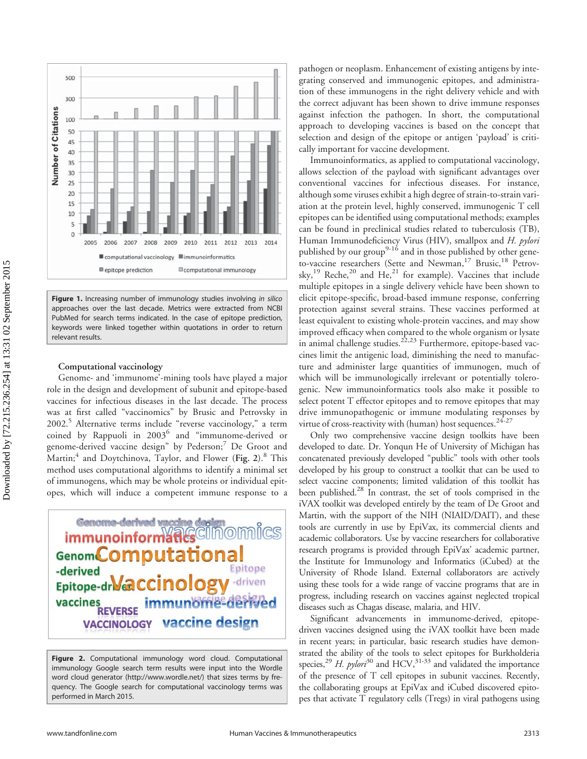

Figure 1. Increasing number of immunology studies involving in silico approaches over the last decade. Metrics were extracted from NCBI PubMed for search terms indicated. In the case of epitope prediction, keywords were linked together within quotations in order to return relevant results.

#### Computational vaccinology

Genome- and 'immunome'-mining tools have played a major role in the design and development of subunit and epitope-based vaccines for infectious diseases in the last decade. The process was at first called "vaccinomics" by Brusic and Petrovsky in 2002.<sup>5</sup> Alternative terms include "reverse vaccinology," a term coined by Rappuoli in  $2003^6$  and "immunome-derived or genome-derived vaccine design" by Pederson;<sup>7</sup> De Groot and Martin;<sup>4</sup> and Doytchinova, Taylor, and Flower (Fig. 2).<sup>8</sup> This method uses computational algorithms to identify a minimal set of immunogens, which may be whole proteins or individual epitopes, which will induce a competent immune response to a

Genome-derived vaccine designed and the immunoinformation .<br>Omnics Genom Computational **Epitope** -derived Epitope-dr**Vaccinology** -driven vaccines<br>REVERSE immunome-derived **VACCINOLOGY VACCINE design** 

Figure 2. Computational immunology word cloud. Computational immunology Google search term results were input into the Wordle word cloud generator (http://www.wordle.net/) that sizes terms by frequency. The Google search for computational vaccinology terms was performed in March 2015.

pathogen or neoplasm. Enhancement of existing antigens by integrating conserved and immunogenic epitopes, and administration of these immunogens in the right delivery vehicle and with the correct adjuvant has been shown to drive immune responses against infection the pathogen. In short, the computational approach to developing vaccines is based on the concept that selection and design of the epitope or antigen 'payload' is critically important for vaccine development.

Immunoinformatics, as applied to computational vaccinology, allows selection of the payload with significant advantages over conventional vaccines for infectious diseases. For instance, although some viruses exhibit a high degree of strain-to-strain variation at the protein level, highly conserved, immunogenic T cell epitopes can be identified using computational methods; examples can be found in preclinical studies related to tuberculosis (TB), Human Immunodeficiency Virus (HIV), smallpox and H. pylori published by our group<sup>9-16</sup> and in those published by other geneto-vaccine researchers (Sette and Newman,<sup>17</sup> Brusic,<sup>18</sup> Petrovsky,<sup>19</sup> Reche,<sup>20</sup> and He,<sup>21</sup> for example). Vaccines that include multiple epitopes in a single delivery vehicle have been shown to elicit epitope-specific, broad-based immune response, conferring protection against several strains. These vaccines performed at least equivalent to existing whole-protein vaccines, and may show improved efficacy when compared to the whole organism or lysate in animal challenge studies.<sup>22,23</sup> Furthermore, epitope-based vaccines limit the antigenic load, diminishing the need to manufacture and administer large quantities of immunogen, much of which will be immunologically irrelevant or potentially tolerogenic. New immunoinformatics tools also make it possible to select potent T effector epitopes and to remove epitopes that may drive immunopathogenic or immune modulating responses by virtue of cross-reactivity with (human) host sequences.<sup>24-27</sup>

Only two comprehensive vaccine design toolkits have been developed to date. Dr. Yonqun He of University of Michigan has concatenated previously developed "public" tools with other tools developed by his group to construct a toolkit that can be used to select vaccine components; limited validation of this toolkit has been published.<sup>28</sup> In contrast, the set of tools comprised in the iVAX toolkit was developed entirely by the team of De Groot and Martin, with the support of the NIH (NIAID/DAIT), and these tools are currently in use by EpiVax, its commercial clients and academic collaborators. Use by vaccine researchers for collaborative research programs is provided through EpiVax' academic partner, the Institute for Immunology and Informatics (iCubed) at the University of Rhode Island. External collaborators are actively using these tools for a wide range of vaccine programs that are in progress, including research on vaccines against neglected tropical diseases such as Chagas disease, malaria, and HIV.

Significant advancements in immunome-derived, epitopedriven vaccines designed using the iVAX toolkit have been made in recent years; in particular, basic research studies have demonstrated the ability of the tools to select epitopes for Burkholderia species,<sup>29</sup> H. pylori<sup>30</sup> and HCV,<sup>31-33</sup> and validated the importance of the presence of T cell epitopes in subunit vaccines. Recently, the collaborating groups at EpiVax and iCubed discovered epitopes that activate T regulatory cells (Tregs) in viral pathogens using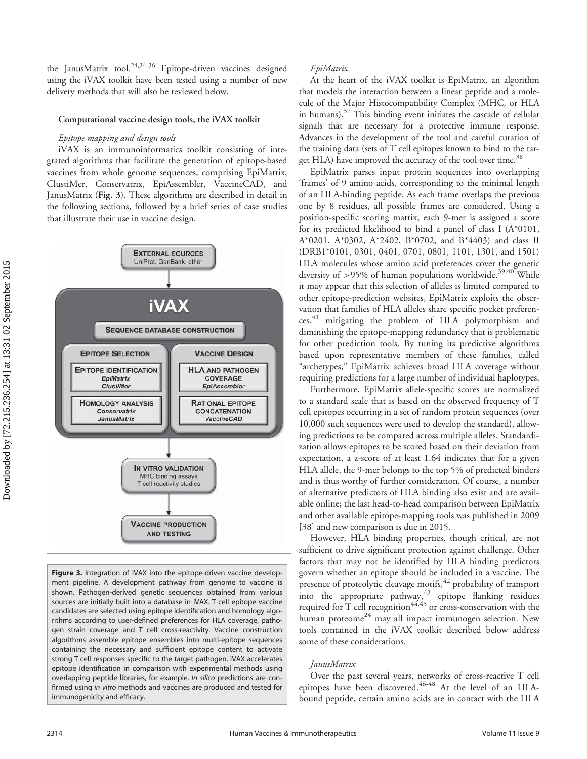the JanusMatrix tool.<sup>24,34-36</sup> Epitope-driven vaccines designed using the iVAX toolkit have been tested using a number of new delivery methods that will also be reviewed below.

#### Computational vaccine design tools, the iVAX toolkit

#### Epitope mapping and design tools

iVAX is an immunoinformatics toolkit consisting of integrated algorithms that facilitate the generation of epitope-based vaccines from whole genome sequences, comprising EpiMatrix, ClustiMer, Conservatrix, EpiAssembler, VaccineCAD, and JanusMatrix (Fig. 3). These algorithms are described in detail in the following sections, followed by a brief series of case studies that illustrate their use in vaccine design.



Figure 3. Integration of iVAX into the epitope-driven vaccine development pipeline. A development pathway from genome to vaccine is shown. Pathogen-derived genetic sequences obtained from various sources are initially built into a database in iVAX. T cell epitope vaccine candidates are selected using epitope identification and homology algorithms according to user-defined preferences for HLA coverage, pathogen strain coverage and T cell cross-reactivity. Vaccine construction algorithms assemble epitope ensembles into multi-epitope sequences containing the necessary and sufficient epitope content to activate strong T cell responses specific to the target pathogen. iVAX accelerates epitope identification in comparison with experimental methods using overlapping peptide libraries, for example. In silico predictions are confirmed using in vitro methods and vaccines are produced and tested for immunogenicity and efficacy.

#### EpiMatrix

At the heart of the iVAX toolkit is EpiMatrix, an algorithm that models the interaction between a linear peptide and a molecule of the Major Histocompatibility Complex (MHC, or HLA in humans). $37$  This binding event initiates the cascade of cellular signals that are necessary for a protective immune response. Advances in the development of the tool and careful curation of the training data (sets of T cell epitopes known to bind to the target HLA) have improved the accuracy of the tool over time.<sup>38</sup>

EpiMatrix parses input protein sequences into overlapping 'frames' of 9 amino acids, corresponding to the minimal length of an HLA-binding peptide. As each frame overlaps the previous one by 8 residues, all possible frames are considered. Using a position-specific scoring matrix, each 9-mer is assigned a score for its predicted likelihood to bind a panel of class I (A\*0101, A\*0201, A\*0302, A\*2402, B\*0702, and B\*4403) and class II (DRB1\*0101, 0301, 0401, 0701, 0801, 1101, 1301, and 1501) HLA molecules whose amino acid preferences cover the genetic diversity of >95% of human populations worldwide.<sup>39,40</sup> While it may appear that this selection of alleles is limited compared to other epitope-prediction websites, EpiMatrix exploits the observation that families of HLA alleles share specific pocket preferences, <sup>41</sup> mitigating the problem of HLA polymorphism and diminishing the epitope-mapping redundancy that is problematic for other prediction tools. By tuning its predictive algorithms based upon representative members of these families, called "archetypes," EpiMatrix achieves broad HLA coverage without requiring predictions for a large number of individual haplotypes.

Furthermore, EpiMatrix allele-specific scores are normalized to a standard scale that is based on the observed frequency of T cell epitopes occurring in a set of random protein sequences (over 10,000 such sequences were used to develop the standard), allowing predictions to be compared across multiple alleles. Standardization allows epitopes to be scored based on their deviation from expectation, a z-score of at least 1.64 indicates that for a given HLA allele, the 9-mer belongs to the top 5% of predicted binders and is thus worthy of further consideration. Of course, a number of alternative predictors of HLA binding also exist and are available online; the last head-to-head comparison between EpiMatrix and other available epitope-mapping tools was published in 2009 [38] and new comparison is due in 2015.

However, HLA binding properties, though critical, are not sufficient to drive significant protection against challenge. Other factors that may not be identified by HLA binding predictors govern whether an epitope should be included in a vaccine. The presence of proteolytic cleavage motifs,<sup>42</sup> probability of transport into the appropriate pathway, $43$  epitope flanking residues required for  $T$  cell recognition<sup>44,45</sup> or cross-conservation with the human proteome<sup>24</sup> may all impact immunogen selection. New tools contained in the iVAX toolkit described below address some of these considerations.

#### JanusMatrix

Over the past several years, networks of cross-reactive T cell epitopes have been discovered.<sup>46-48</sup> At the level of an HLAbound peptide, certain amino acids are in contact with the HLA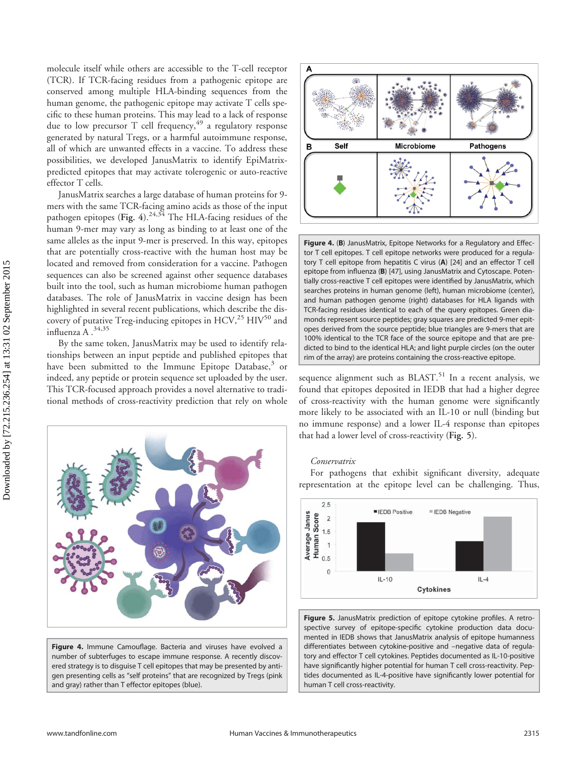molecule itself while others are accessible to the T-cell receptor (TCR). If TCR-facing residues from a pathogenic epitope are conserved among multiple HLA-binding sequences from the human genome, the pathogenic epitope may activate T cells specific to these human proteins. This may lead to a lack of response due to low precursor T cell frequency,  $49$  a regulatory response generated by natural Tregs, or a harmful autoimmune response, all of which are unwanted effects in a vaccine. To address these possibilities, we developed JanusMatrix to identify EpiMatrixpredicted epitopes that may activate tolerogenic or auto-reactive effector T cells.

JanusMatrix searches a large database of human proteins for 9 mers with the same TCR-facing amino acids as those of the input pathogen epitopes (Fig. 4).<sup>24,34</sup> The HLA-facing residues of the human 9-mer may vary as long as binding to at least one of the same alleles as the input 9-mer is preserved. In this way, epitopes that are potentially cross-reactive with the human host may be located and removed from consideration for a vaccine. Pathogen sequences can also be screened against other sequence databases built into the tool, such as human microbiome human pathogen databases. The role of JanusMatrix in vaccine design has been highlighted in several recent publications, which describe the discovery of putative Treg-inducing epitopes in  $HCV<sub>25</sub><sup>25</sup> HIV<sub>50</sub>$  and influenza  $A^{34,35}$ 

By the same token, JanusMatrix may be used to identify relationships between an input peptide and published epitopes that have been submitted to the Immune Epitope Database,<sup>3</sup> or indeed, any peptide or protein sequence set uploaded by the user. This TCR-focused approach provides a novel alternative to traditional methods of cross-reactivity prediction that rely on whole



Figure 4. Immune Camouflage. Bacteria and viruses have evolved a number of subterfuges to escape immune response. A recently discovered strategy is to disguise T cell epitopes that may be presented by antigen presenting cells as "self proteins" that are recognized by Tregs (pink and gray) rather than T effector epitopes (blue).



Figure 4. (B) JanusMatrix, Epitope Networks for a Regulatory and Effector T cell epitopes. T cell epitope networks were produced for a regulatory T cell epitope from hepatitis C virus (A) [24] and an effector T cell epitope from influenza (B) [47], using JanusMatrix and Cytoscape. Potentially cross-reactive T cell epitopes were identified by JanusMatrix, which searches proteins in human genome (left), human microbiome (center), and human pathogen genome (right) databases for HLA ligands with TCR-facing residues identical to each of the query epitopes. Green diamonds represent source peptides; gray squares are predicted 9-mer epitopes derived from the source peptide; blue triangles are 9-mers that are 100% identical to the TCR face of the source epitope and that are predicted to bind to the identical HLA; and light purple circles (on the outer rim of the array) are proteins containing the cross-reactive epitope.

sequence alignment such as  $BLAST.^{51}$  In a recent analysis, we found that epitopes deposited in IEDB that had a higher degree of cross-reactivity with the human genome were significantly more likely to be associated with an IL-10 or null (binding but no immune response) and a lower IL-4 response than epitopes that had a lower level of cross-reactivity (Fig. 5).

#### Conservatrix

For pathogens that exhibit significant diversity, adequate representation at the epitope level can be challenging. Thus,



Figure 5. JanusMatrix prediction of epitope cytokine profiles. A retrospective survey of epitope-specific cytokine production data documented in IEDB shows that JanusMatrix analysis of epitope humanness differentiates between cytokine-positive and –negative data of regulatory and effector T cell cytokines. Peptides documented as IL-10-positive have significantly higher potential for human T cell cross-reactivity. Peptides documented as IL-4-positive have significantly lower potential for human T cell cross-reactivity.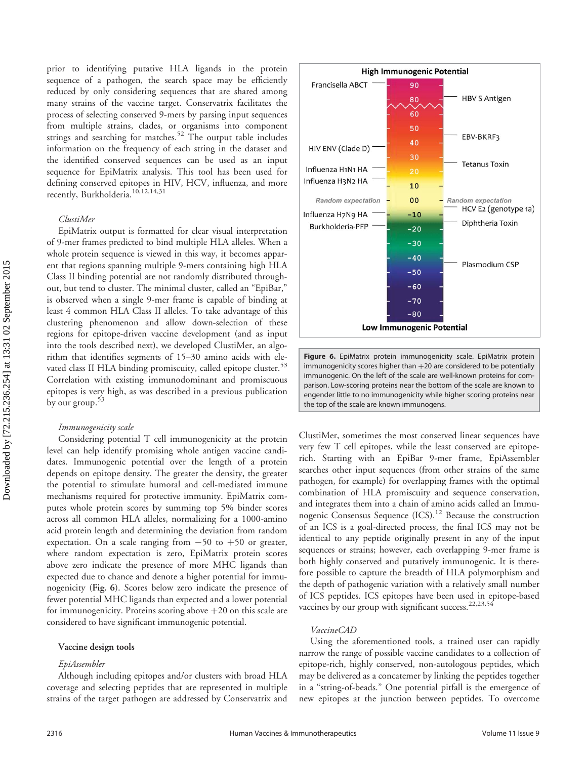prior to identifying putative HLA ligands in the protein sequence of a pathogen, the search space may be efficiently reduced by only considering sequences that are shared among many strains of the vaccine target. Conservatrix facilitates the process of selecting conserved 9-mers by parsing input sequences from multiple strains, clades, or organisms into component strings and searching for matches.<sup>52</sup> The output table includes information on the frequency of each string in the dataset and the identified conserved sequences can be used as an input sequence for EpiMatrix analysis. This tool has been used for defining conserved epitopes in HIV, HCV, influenza, and more recently, Burkholderia.<sup>10,12,14,31</sup>

#### ClustiMer

EpiMatrix output is formatted for clear visual interpretation of 9-mer frames predicted to bind multiple HLA alleles. When a whole protein sequence is viewed in this way, it becomes apparent that regions spanning multiple 9-mers containing high HLA Class II binding potential are not randomly distributed throughout, but tend to cluster. The minimal cluster, called an "EpiBar," is observed when a single 9-mer frame is capable of binding at least 4 common HLA Class II alleles. To take advantage of this clustering phenomenon and allow down-selection of these regions for epitope-driven vaccine development (and as input into the tools described next), we developed ClustiMer, an algorithm that identifies segments of 15–30 amino acids with elevated class II HLA binding promiscuity, called epitope cluster.<sup>53</sup> Correlation with existing immunodominant and promiscuous epitopes is very high, as was described in a previous publication by our group.  $53$ 

#### Immunogenicity scale

Considering potential T cell immunogenicity at the protein level can help identify promising whole antigen vaccine candidates. Immunogenic potential over the length of a protein depends on epitope density. The greater the density, the greater the potential to stimulate humoral and cell-mediated immune mechanisms required for protective immunity. EpiMatrix computes whole protein scores by summing top 5% binder scores across all common HLA alleles, normalizing for a 1000-amino acid protein length and determining the deviation from random expectation. On a scale ranging from  $-50$  to  $+50$  or greater, where random expectation is zero, EpiMatrix protein scores above zero indicate the presence of more MHC ligands than expected due to chance and denote a higher potential for immunogenicity (Fig. 6). Scores below zero indicate the presence of fewer potential MHC ligands than expected and a lower potential for immunogenicity. Proteins scoring above  $+20$  on this scale are considered to have significant immunogenic potential.

#### Vaccine design tools

#### EpiAssembler

Although including epitopes and/or clusters with broad HLA coverage and selecting peptides that are represented in multiple strains of the target pathogen are addressed by Conservatrix and



Figure 6. EpiMatrix protein immunogenicity scale. EpiMatrix protein immunogenicity scores higher than  $+20$  are considered to be potentially immunogenic. On the left of the scale are well-known proteins for comparison. Low-scoring proteins near the bottom of the scale are known to engender little to no immunogenicity while higher scoring proteins near the top of the scale are known immunogens.

ClustiMer, sometimes the most conserved linear sequences have very few T cell epitopes, while the least conserved are epitoperich. Starting with an EpiBar 9-mer frame, EpiAssembler searches other input sequences (from other strains of the same pathogen, for example) for overlapping frames with the optimal combination of HLA promiscuity and sequence conservation, and integrates them into a chain of amino acids called an Immunogenic Consensus Sequence (ICS).<sup>12</sup> Because the construction of an ICS is a goal-directed process, the final ICS may not be identical to any peptide originally present in any of the input sequences or strains; however, each overlapping 9-mer frame is both highly conserved and putatively immunogenic. It is therefore possible to capture the breadth of HLA polymorphism and the depth of pathogenic variation with a relatively small number of ICS peptides. ICS epitopes have been used in epitope-based vaccines by our group with significant success.<sup>22,23,54</sup>

#### VaccineCAD

Using the aforementioned tools, a trained user can rapidly narrow the range of possible vaccine candidates to a collection of epitope-rich, highly conserved, non-autologous peptides, which may be delivered as a concatemer by linking the peptides together in a "string-of-beads." One potential pitfall is the emergence of new epitopes at the junction between peptides. To overcome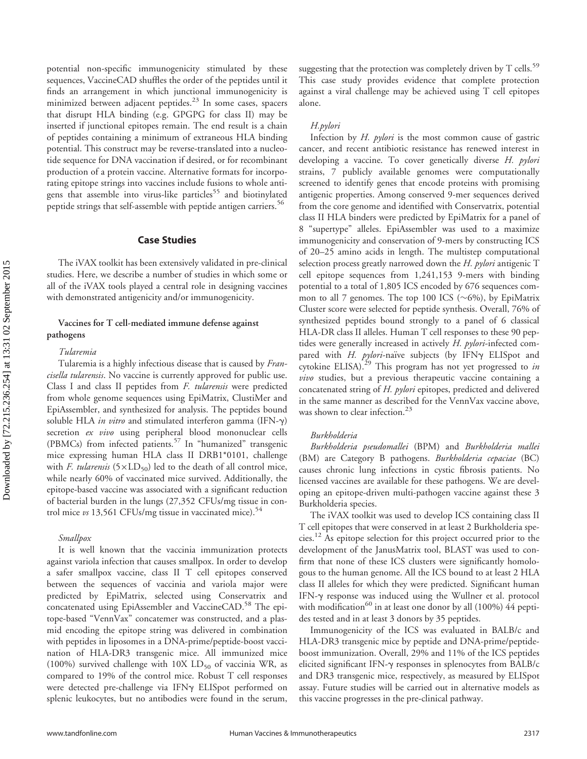sequences, VaccineCAD shuffles the order of the peptides until it finds an arrangement in which junctional immunogenicity is minimized between adjacent peptides. $23$  In some cases, spacers that disrupt HLA binding (e.g. GPGPG for class II) may be inserted if junctional epitopes remain. The end result is a chain of peptides containing a minimum of extraneous HLA binding potential. This construct may be reverse-translated into a nucleotide sequence for DNA vaccination if desired, or for recombinant production of a protein vaccine. Alternative formats for incorporating epitope strings into vaccines include fusions to whole antigens that assemble into virus-like particles<sup>55</sup> and biotinylated peptide strings that self-assemble with peptide antigen carriers.<sup>56</sup> Case Studies

The iVAX toolkit has been extensively validated in pre-clinical studies. Here, we describe a number of studies in which some or all of the iVAX tools played a central role in designing vaccines with demonstrated antigenicity and/or immunogenicity.

potential non-specific immunogenicity stimulated by these

#### Vaccines for T cell-mediated immune defense against pathogens

#### Tularemia

Tularemia is a highly infectious disease that is caused by Francisella tularensis. No vaccine is currently approved for public use. Class I and class II peptides from F. tularensis were predicted from whole genome sequences using EpiMatrix, ClustiMer and EpiAssembler, and synthesized for analysis. The peptides bound soluble HLA *in vitro* and stimulated interferon gamma (IFN- $\gamma$ ) secretion ex vivo using peripheral blood mononuclear cells (PBMCs) from infected patients.<sup>57</sup> In "humanized" transgenic mice expressing human HLA class II DRB1\*0101, challenge with F. tularensis  $(5 \times LD_{50})$  led to the death of all control mice, while nearly 60% of vaccinated mice survived. Additionally, the epitope-based vaccine was associated with a significant reduction of bacterial burden in the lungs (27,352 CFUs/mg tissue in control mice vs 13,561 CFUs/mg tissue in vaccinated mice).<sup>54</sup>

#### Smallpox

It is well known that the vaccinia immunization protects against variola infection that causes smallpox. In order to develop a safer smallpox vaccine, class II T cell epitopes conserved between the sequences of vaccinia and variola major were predicted by EpiMatrix, selected using Conservatrix and concatenated using EpiAssembler and VaccineCAD.<sup>58</sup> The epitope-based "VennVax" concatemer was constructed, and a plasmid encoding the epitope string was delivered in combination with peptides in liposomes in a DNA-prime/peptide-boost vaccination of HLA-DR3 transgenic mice. All immunized mice (100%) survived challenge with  $10X LD_{50}$  of vaccinia WR, as compared to 19% of the control mice. Robust T cell responses were detected pre-challenge via IFNy ELISpot performed on splenic leukocytes, but no antibodies were found in the serum,

suggesting that the protection was completely driven by  $T$  cells.<sup>59</sup> This case study provides evidence that complete protection against a viral challenge may be achieved using T cell epitopes alone.

### H.pylori

Infection by H. pylori is the most common cause of gastric cancer, and recent antibiotic resistance has renewed interest in developing a vaccine. To cover genetically diverse H. pylori strains, 7 publicly available genomes were computationally screened to identify genes that encode proteins with promising antigenic properties. Among conserved 9-mer sequences derived from the core genome and identified with Conservatrix, potential class II HLA binders were predicted by EpiMatrix for a panel of 8 "supertype" alleles. EpiAssembler was used to a maximize immunogenicity and conservation of 9-mers by constructing ICS of 20–25 amino acids in length. The multistep computational selection process greatly narrowed down the H. pylori antigenic T cell epitope sequences from 1,241,153 9-mers with binding potential to a total of 1,805 ICS encoded by 676 sequences common to all 7 genomes. The top 100 ICS ( $\sim$ 6%), by EpiMatrix Cluster score were selected for peptide synthesis. Overall, 76% of synthesized peptides bound strongly to a panel of 6 classical HLA-DR class II alleles. Human T cell responses to these 90 peptides were generally increased in actively H. pylori-infected compared with H. pylori-naïve subjects (by IFNy ELISpot and cytokine ELISA).<sup>29</sup> This program has not yet progressed to  $in$ vivo studies, but a previous therapeutic vaccine containing a concatenated string of H. pylori epitopes, predicted and delivered in the same manner as described for the VennVax vaccine above, was shown to clear infection.<sup>23</sup>

#### Burkholderia

Burkholderia pseudomallei (BPM) and Burkholderia mallei (BM) are Category B pathogens. Burkholderia cepaciae (BC) causes chronic lung infections in cystic fibrosis patients. No licensed vaccines are available for these pathogens. We are developing an epitope-driven multi-pathogen vaccine against these 3 Burkholderia species.

The iVAX toolkit was used to develop ICS containing class II T cell epitopes that were conserved in at least 2 Burkholderia species.<sup>12</sup> As epitope selection for this project occurred prior to the development of the JanusMatrix tool, BLAST was used to confirm that none of these ICS clusters were significantly homologous to the human genome. All the ICS bound to at least 2 HLA class II alleles for which they were predicted. Significant human IFN- $\gamma$  response was induced using the Wullner et al. protocol with modification $^{60}$  in at least one donor by all (100%) 44 peptides tested and in at least 3 donors by 35 peptides.

Immunogenicity of the ICS was evaluated in BALB/c and HLA-DR3 transgenic mice by peptide and DNA-prime/peptideboost immunization. Overall, 29% and 11% of the ICS peptides elicited significant IFN-g responses in splenocytes from BALB/c and DR3 transgenic mice, respectively, as measured by ELISpot assay. Future studies will be carried out in alternative models as this vaccine progresses in the pre-clinical pathway.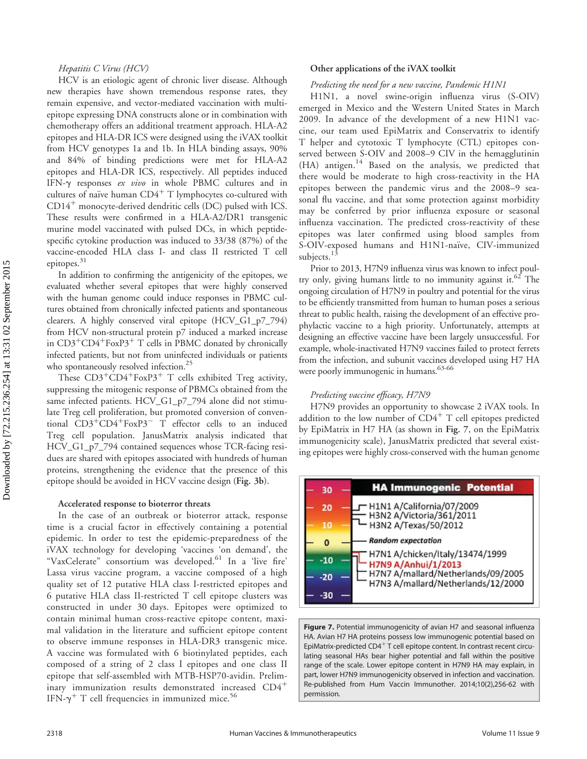#### Hepatitis C Virus (HCV)

HCV is an etiologic agent of chronic liver disease. Although new therapies have shown tremendous response rates, they remain expensive, and vector-mediated vaccination with multiepitope expressing DNA constructs alone or in combination with chemotherapy offers an additional treatment approach. HLA-A2 epitopes and HLA-DR ICS were designed using the iVAX toolkit from HCV genotypes 1a and 1b. In HLA binding assays, 90% and 84% of binding predictions were met for HLA-A2 epitopes and HLA-DR ICS, respectively. All peptides induced IFN- $\gamma$  responses ex vivo in whole PBMC cultures and in cultures of naïve human  $CD4^+$  T lymphocytes co-cultured with  $CD14^+$  monocyte-derived dendritic cells (DC) pulsed with ICS. These results were confirmed in a HLA-A2/DR1 transgenic murine model vaccinated with pulsed DCs, in which peptidespecific cytokine production was induced to 33/38 (87%) of the vaccine-encoded HLA class I- and class II restricted T cell epitopes.<sup>31</sup>

In addition to confirming the antigenicity of the epitopes, we evaluated whether several epitopes that were highly conserved with the human genome could induce responses in PBMC cultures obtained from chronically infected patients and spontaneous clearers. A highly conserved viral epitope (HCV\_G1\_p7\_794) from HCV non-structural protein p7 induced a marked increase in  $CD3^+CD4^+FoxP3^+$  T cells in PBMC donated by chronically infected patients, but not from uninfected individuals or patients who spontaneously resolved infection.<sup>25</sup>

These  $CD3^+CD4^+FoxP3^+$  T cells exhibited Treg activity, suppressing the mitogenic response of PBMCs obtained from the same infected patients. HCV\_G1\_p7\_794 alone did not stimulate Treg cell proliferation, but promoted conversion of conventional  $CD3^+CD4^+FoxP3^-$  T effector cells to an induced Treg cell population. JanusMatrix analysis indicated that HCV\_G1\_p7\_794 contained sequences whose TCR-facing residues are shared with epitopes associated with hundreds of human proteins, strengthening the evidence that the presence of this epitope should be avoided in HCV vaccine design (Fig. 3b).

#### Accelerated response to bioterror threats

In the case of an outbreak or bioterror attack, response time is a crucial factor in effectively containing a potential epidemic. In order to test the epidemic-preparedness of the iVAX technology for developing 'vaccines 'on demand', the "VaxCelerate" consortium was developed.<sup>61</sup> In a 'live fire' Lassa virus vaccine program, a vaccine composed of a high quality set of 12 putative HLA class I-restricted epitopes and 6 putative HLA class II-restricted T cell epitope clusters was constructed in under 30 days. Epitopes were optimized to contain minimal human cross-reactive epitope content, maximal validation in the literature and sufficient epitope content to observe immune responses in HLA-DR3 transgenic mice. A vaccine was formulated with 6 biotinylated peptides, each composed of a string of 2 class I epitopes and one class II epitope that self-assembled with MTB-HSP70-avidin. Preliminary immunization results demonstrated increased  $CD4^+$ IFN- $\gamma^+$  T cell frequencies in immunized mice.<sup>56</sup>

#### Other applications of the iVAX toolkit

#### Predicting the need for a new vaccine, Pandemic H1N1

H1N1, a novel swine-origin influenza virus (S-OIV) emerged in Mexico and the Western United States in March 2009. In advance of the development of a new H1N1 vaccine, our team used EpiMatrix and Conservatrix to identify T helper and cytotoxic T lymphocyte (CTL) epitopes conserved between S-OIV and 2008–9 CIV in the hemagglutinin  $(HA)$  antigen.<sup>14</sup> Based on the analysis, we predicted that there would be moderate to high cross-reactivity in the HA epitopes between the pandemic virus and the 2008–9 seasonal flu vaccine, and that some protection against morbidity may be conferred by prior influenza exposure or seasonal influenza vaccination. The predicted cross-reactivity of these epitopes was later confirmed using blood samples from S-OIV-exposed humans and H1N1-naïve, CIV-immunized subjects.<sup>13</sup>

Prior to 2013, H7N9 influenza virus was known to infect poultry only, giving humans little to no immunity against it.<sup>62</sup> The ongoing circulation of H7N9 in poultry and potential for the virus to be efficiently transmitted from human to human poses a serious threat to public health, raising the development of an effective prophylactic vaccine to a high priority. Unfortunately, attempts at designing an effective vaccine have been largely unsuccessful. For example, whole-inactivated H7N9 vaccines failed to protect ferrets from the infection, and subunit vaccines developed using H7 HA were poorly immunogenic in humans.<sup>63-66</sup>

#### Predicting vaccine efficacy, H7N9

H7N9 provides an opportunity to showcase 2 iVAX tools. In addition to the low number of  $CD4^+$  T cell epitopes predicted by EpiMatrix in H7 HA (as shown in Fig. 7, on the EpiMatrix immunogenicity scale), JanusMatrix predicted that several existing epitopes were highly cross-conserved with the human genome



Figure 7. Potential immunogenicity of avian H7 and seasonal influenza HA. Avian H7 HA proteins possess low immunogenic potential based on EpiMatrix-predicted CD4<sup>+</sup> T cell epitope content. In contrast recent circulating seasonal HAs bear higher potential and fall within the positive range of the scale. Lower epitope content in H7N9 HA may explain, in part, lower H7N9 immunogenicity observed in infection and vaccination. Re-published from Hum Vaccin Immunother. 2014;10(2),256-62 with permission.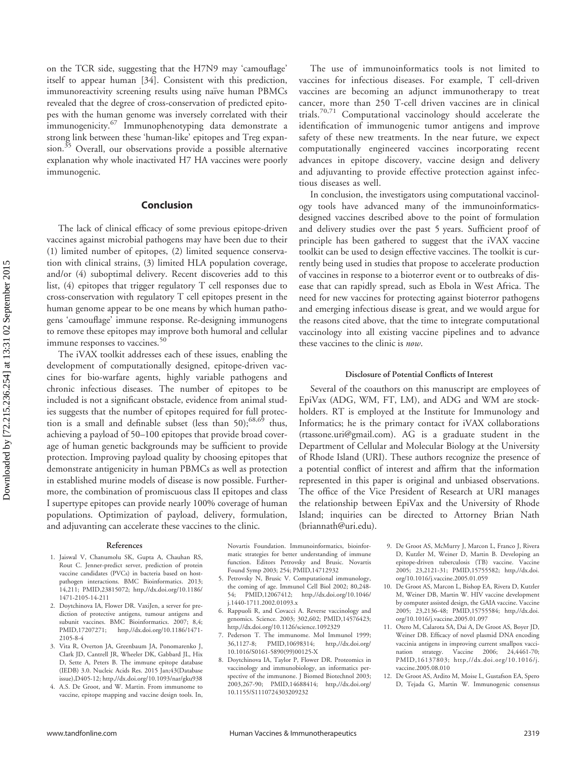on the TCR side, suggesting that the H7N9 may 'camouflage' itself to appear human [34]. Consistent with this prediction, immunoreactivity screening results using naïve human PBMCs revealed that the degree of cross-conservation of predicted epitopes with the human genome was inversely correlated with their immunogenicity.<sup>67</sup> Immunophenotyping data demonstrate a strong link between these 'human-like' epitopes and Treg expansion.<sup>35</sup> Overall, our observations provide a possible alternative explanation why whole inactivated H7 HA vaccines were poorly immunogenic.

#### Conclusion

The lack of clinical efficacy of some previous epitope-driven vaccines against microbial pathogens may have been due to their (1) limited number of epitopes, (2) limited sequence conservation with clinical strains, (3) limited HLA population coverage, and/or (4) suboptimal delivery. Recent discoveries add to this list, (4) epitopes that trigger regulatory T cell responses due to cross-conservation with regulatory T cell epitopes present in the human genome appear to be one means by which human pathogens 'camouflage' immune response. Re-designing immunogens to remove these epitopes may improve both humoral and cellular immune responses to vaccines.<sup>50</sup>

The iVAX toolkit addresses each of these issues, enabling the development of computationally designed, epitope-driven vaccines for bio-warfare agents, highly variable pathogens and chronic infectious diseases. The number of epitopes to be included is not a significant obstacle, evidence from animal studies suggests that the number of epitopes required for full protection is a small and definable subset (less than  $50$ );<sup>68,69</sup> thus, achieving a payload of 50–100 epitopes that provide broad coverage of human genetic backgrounds may be sufficient to provide protection. Improving payload quality by choosing epitopes that demonstrate antigenicity in human PBMCs as well as protection in established murine models of disease is now possible. Furthermore, the combination of promiscuous class II epitopes and class I supertype epitopes can provide nearly 100% coverage of human populations. Optimization of payload, delivery, formulation, and adjuvanting can accelerate these vaccines to the clinic.

#### References

- 1. Jaiswal V, Chanumolu SK, Gupta A, Chauhan RS, Rout C. Jenner-predict server, prediction of protein vaccine candidates (PVCs) in bacteria based on hostpathogen interactions. BMC Bioinformatics. 2013; 14,211; PMID,23815072; http,//dx.doi.org/10.1186/ 1471-2105-14-211
- 2. Doytchinova IA, Flower DR. VaxiJen, a server for prediction of protective antigens, tumour antigens and subunit vaccines. BMC Bioinformatics. 2007; 8,4; PMID,17207271; http,//dx.doi.org/10.1186/1471- 2105-8-4
- 3. Vita R, Overton JA, Greenbaum JA, Ponomarenko J, Clark JD, Cantrell JR, Wheeler DK, Gabbard JL, Hix D, Sette A, Peters B. The immune epitope database (IEDB) 3.0. Nucleic Acids Res. 2015 Jan;43(Database issue),D405-12; http,//dx.doi.org/10.1093/nar/gku938
- 4. A.S. De Groot, and W. Martin. From immunome to vaccine, epitope mapping and vaccine design tools. In,

The use of immunoinformatics tools is not limited to vaccines for infectious diseases. For example, T cell-driven vaccines are becoming an adjunct immunotherapy to treat cancer, more than 250 T-cell driven vaccines are in clinical trials.70,71 Computational vaccinology should accelerate the identification of immunogenic tumor antigens and improve safety of these new treatments. In the near future, we expect computationally engineered vaccines incorporating recent advances in epitope discovery, vaccine design and delivery and adjuvanting to provide effective protection against infectious diseases as well.

In conclusion, the investigators using computational vaccinology tools have advanced many of the immunoinformaticsdesigned vaccines described above to the point of formulation and delivery studies over the past 5 years. Sufficient proof of principle has been gathered to suggest that the iVAX vaccine toolkit can be used to design effective vaccines. The toolkit is currently being used in studies that propose to accelerate production of vaccines in response to a bioterror event or to outbreaks of disease that can rapidly spread, such as Ebola in West Africa. The need for new vaccines for protecting against bioterror pathogens and emerging infectious disease is great, and we would argue for the reasons cited above, that the time to integrate computational vaccinology into all existing vaccine pipelines and to advance these vaccines to the clinic is now.

#### Disclosure of Potential Conflicts of Interest

Several of the coauthors on this manuscript are employees of EpiVax (ADG, WM, FT, LM), and ADG and WM are stockholders. RT is employed at the Institute for Immunology and Informatics; he is the primary contact for iVAX collaborations (rtassone.uri@gmail.com). AG is a graduate student in the Department of Cellular and Molecular Biology at the University of Rhode Island (URI). These authors recognize the presence of a potential conflict of interest and affirm that the information represented in this paper is original and unbiased observations. The office of the Vice President of Research at URI manages the relationship between EpiVax and the University of Rhode Island; inquiries can be directed to Attorney Brian Nath (briannath@uri.edu).

Novartis Foundation. Immunoinformatics, bioinformatic strategies for better understanding of immune function. Editors Petrovsky and Brusic. Novartis Found Symp 2003; 254; PMID,14712932

- 5. Petrovsky N, Brusic V. Computational immunology, the coming of age. Immunol Cell Biol 2002; 80,248- 54; PMID,12067412; http,//dx.doi.org/10.1046/ j.1440-1711.2002.01093.x
- 6. Rappuoli R, and Covacci A. Reverse vaccinology and genomics. Science. 2003; 302,602; PMID,14576423; http,//dx.doi.org/10.1126/science.1092329
- 7. Pederson T. The immunome. Mol Immunol 1999; 36,1127-8; PMID,10698314; 10.1016/S0161-5890(99)00125-X
- 8. Doytchinova IA, Taylor P, Flower DR. Proteomics in vaccinology and immunobiology, an informatics perspective of the immunone. J Biomed Biotechnol 2003; 2003,267-90; PMID,14688414; http,//dx.doi.org/ 10.1155/S1110724303209232
- 9. De Groot AS, McMurry J, Marcon L, Franco J, Rivera D, Kutzler M, Weiner D, Martin B. Developing an epitope-driven tuberculosis (TB) vaccine. Vaccine 2005; 23,2121-31; PMID,15755582; http,//dx.doi. org/10.1016/j.vaccine.2005.01.059
- 10. De Groot AS, Marcon L, Bishop EA, Rivera D, Kutzler M, Weiner DB, Martin W. HIV vaccine development by computer assisted design, the GAIA vaccine. Vaccine 2005; 23,2136-48; PMID,15755584; http,//dx.doi. org/10.1016/j.vaccine.2005.01.097
- 11. Otero M, Calarota SA, Dai A, De Groot AS, Boyer JD, Weiner DB. Efficacy of novel plasmid DNA encoding vaccinia antigens in improving current smallpox vaccination strategy. Vaccine 2006; 24,4461-70; PMID,16137803; http,//dx.doi.org/10.1016/j. vaccine.2005.08.010
- 12. De Groot AS, Ardito M, Moise L, Gustafson EA, Spero D, Tejada G, Martin W. Immunogenic consensus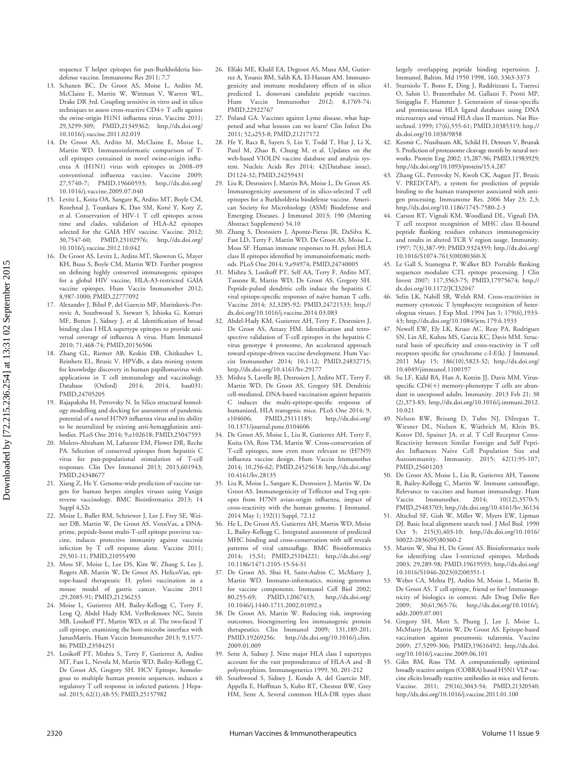sequence T helper epitopes for pan-Burkholderia biodefense vaccine. Immunome Res 2011; 7,7

- 13. Schanen BC, De Groot AS, Moise L, Ardito M, McClaine E, Martin W, Wittman V, Warren WL, Drake DR 3rd. Coupling sensitive in vitro and in silico techniques to assess cross-reactive CD4+ T cells against the swine-origin H1N1 influenza virus. Vaccine 2011; 29,3299-309; PMID,21349362; http,//dx.doi.org/ 10.1016/j.vaccine.2011.02.019
- 14. De Groot AS, Ardito M, McClaine E, Moise L, Martin WD. Immunoinformatic comparison of Tcell epitopes contained in novel swine-origin influenza A (H1N1) virus with epitopes in 2008–09 conventional influenza vaccine. Vaccine 2009; 27,5740-7; PMID,19660593; http,//dx.doi.org/ 10.1016/j.vaccine.2009.07.040
- 15. Levitz L, Koita OA, Sangare K, Ardito MT, Boyle CM, Rozehnal J, Tounkara K, Dao SM, Koné Y, Koty Z, et al. Conservation of HIV-1 T cell epitopes across time and clades, validation of HLA-A2 epitopes selected for the GAIA HIV vaccine. Vaccine. 2012; 30,7547-60; PMID,23102976; http,//dx.doi.org/ 10.1016/j.vaccine.2012.10.042
- 16. De Groot AS, Levitz L, Ardito MT, Skowron G, Mayer KH, Buus S, Boyle CM, Martin WD. Further progress on defining highly conserved immunogenic epitopes for a global HIV vaccine, HLA-A3-restricted GAIA vaccine epitopes. Hum Vaccin Immunother 2012; 8,987-1000; PMID,22777092
- 17. Alexander J, Bilsel P, del Guercio MF, Marinkovic-Petrovic A, Southwood S, Stewart S, Ishioka G, Kotturi MF, Botten J, Sidney J, et al. Identification of broad binding class I HLA supertype epitopes to provide universal coverage of influenza A virus. Hum Immunol 2010; 71,468-74; PMID,20156506
- 18. Zhang GL, Riemer AB, Keskin DB, Chitkushev L, Reinherz EL, Brusic V. HPVdb, a data mining system for knowledge discovery in human papillomavirus with applications in T cell immunology and vaccinology. Database (Oxford) 2014; 2014, bau031; PMID,24705205
- 19. Rajapaksha H, Petrovsky N. In Silico structural homology modelling and docking for assessment of pandemic potential of a novel H7N9 influenza virus and its ability to be neutralized by existing anti-hemagglutinin antibodies. PLoS One 2014; 9,e102618; PMID,25047593
- 20. Molero-Abraham M, Lafuente EM, Flower DR, Reche PA. Selection of conserved epitopes from hepatitis C virus for pan-populational stimulation of T-cell responses. Clin Dev Immunol 2013; 2013,601943; PMID,2434867
- 21. Xiang Z, He Y. Genome-wide prediction of vaccine targets for human herpes simplex viruses using Vaxign reverse vaccinology. BMC Bioinformatics 2013; 14 Suppl 4,S2s
- 22. Moise L, Buller RM, Schriewer J, Lee J, Frey SE, Weiner DB, Martin W, De Groot AS. VennVax, a DNAprime, peptide-boost multi-T-cell epitope poxvirus vaccine, induces protective immunity against vaccinia infection by T cell response alone. Vaccine 2011; 29,501-11; PMID,21055490
- 23. Moss SF, Moise L, Lee DS, Kim W, Zhang S, Lee J, Rogers AB, Martin W, De Groot AS. HelicoVax, epitope-based therapeutic H. pylori vaccination in a mouse model of gastric cancer. Vaccine 2011 ;29,2085-91; PMID,21236233
- 24. Moise L, Gutierrez AH, Bailey-Kellogg C, Terry F, Leng Q, Abdel Hady KM, VerBerkmoes NC, Sztein MB, Losikoff PT, Martin WD, et al. The two-faced T cell epitope, examining the host-microbe interface with JanusMatrix. Hum Vaccin Immunother 2013; 9,1577- 86; PMID,23584251
- 25. Losikoff PT, Mishra S, Terry F, Gutierrez A, Ardito MT, Fast L, Nevola M, Martin WD, Bailey-Kellogg C, De Groot AS, Gregory SH. HCV Epitope, homologous to multiple human protein sequences, induces a regulatory T cell response in infected patients. J Hepatol. 2015; 62(1),48-55; PMID,25157982
- 26. Elfaki ME, Khalil EA, Degroot AS, Musa AM, Gutierrez A, Younis BM, Salih KA, El-Hassan AM. Immunogenicity and immune modulatory effects of in silico predicted L. donovani candidate peptide vaccines. Hum Vaccin Immunother 2012; 8,1769-74; PMID,22922767
- 27. Poland GA. Vaccines against Lyme disease, what happened and what lessons can we learn? Clin Infect Dis 2011; 52,s253-8; PMID,21217172
- 28. He Y, Racz R, Sayers S, Lin Y, Todd T, Hur J, Li X, Patel M, Zhao B, Chung M, et al. Updates on the web-based VIOLIN vaccine database and analysis system. Nucleic Acids Res 2014; 42(Database issue), D1124-32; PMID,24259431
- 29. Liu R, Desrosiers J, Martin BA, Moise L, De Groot AS. Immunogenicity assessment of in silico-selected T cell epitopes for a Burkholderia biodefense vaccine. American Society for Microbiology (ASM) Biodefense and Emerging Diseases. J Immunol 2013; 190 (Meeting Abstract Supplement) 54.10
- 30. Zhang S, Desrosiers J, Aponte-Pieras JR, DaSilva K, Fast LD, Terry F, Martin WD, De Groot AS, Moise L, Moss SF. Human immune responses to H. pylori HLA class II epitopes identified by immunoinformatic methods. PLoS One 2014; 9,e94974; PMID,24740005
- 31. Mishra S, Losikoff PT, Self AA, Terry F, Ardito MT, Tassone R, Martin WD, De Groot AS, Gregory SH. Peptide-pulsed dendritic cells induce the hepatitis C viral epitope-specific responses of naïve human T cells. Vaccine 2014; 32,3285-92; PMID,24721533; http,// dx.doi.org/10.1016/j.vaccine.2014.03.083
- 32. Abdel-Hady KM, Gutierrez AH, Terry F, Desrosiers J, De Groot AS, Azzazy HM. Identification and retrospective validation of T-cell epitopes in the hepatitis C virus genotype 4 proteome, An accelerated approach toward epitope-driven vaccine development. Hum Vaccin Immunother 2014; 10,1-12; PMID,24832715; http,//dx.doi.org/10.4161/hv.29177
- 33. Mishra S, Lavelle BJ, Desrosiers J, Ardito MT, Terry F, Martin WD, De Groot AS, Gregory SH. Dendritic cell-mediated, DNA-based vaccination against hepatitis C induces the multi-epitope-specific response of humanized, HLA transgenic mice. PLoS One 2014; 9,<br>e104606: PMID.25111185: http://dx.doi.org/ e104606; PMID,25111185; http,//dx.doi.org/ 10.1371/journal.pone.0104606
- De Groot AS, Moise L, Liu R, Gutierrez AH, Terry F, Koita OA, Ross TM, Martin W. Cross-conservation of T-cell epitopes, now even more relevant to (H7N9) influenza vaccine design. Hum Vaccin Immunother 2014; 10,256-62; PMID,24525618; http,//dx.doi.org/ 10.4161/hv.28135
- 35. Liu R, Moise L, Sangare K, Desrosiers J, Martin W, De Groot AS. Immunogenicity of Teffector and Treg epitopes from H7N9 avian-origin influenza, impact of cross-reactivity with the human genome. J Immunol. 2014 May 1; 192(1) Suppl, 72.12
- 36. He L, De Groot AS, Gutierrez AH, Martin WD, Moise L, Bailey-Kellogg C. Integrated assessment of predicted MHC binding and cross-conservation with self reveals patterns of viral camouflage. BMC Bioinformatics 2014; 15,S1; PMID,25104221; http,//dx.doi.org/ 10.1186/1471-2105-15-S4-S1
- 37. De Groot AS, Sbai H, Saint-Aubin C, McMurry J, Martin WD. Immuno-informatics, mining genomes for vaccine components. Immunol Cell Biol 2002; 80,255-69; PMID,12067413; http,//dx.doi.org/ 10.1046/j.1440-1711.2002.01092.x
- 38. De Groot AS, Martin W. Reducing risk, improving outcomes, bioengineering less immunogenic protein therapeutics. Clin Immunol 2009; 131,189-201; PMID,19269256; http,//dx.doi.org/10.1016/j.clim. 2009.01.009
- 39. Sette A, Sidney J. Nine major HLA class I supertypes account for the vast preponderance of HLA-A and -B polymorphism. Immunogenetics 1999, 50, 201-212
- 40. Southwood S, Sidney J, Kondo A, del Guercio MF, Appella E, Hoffman S, Kubo RT, Chesnut RW, Grey HM, Sette A, Several common HLA-DR types share

largely overlapping peptide binding repertoires. J. Immunol. Baltim. Md 1950 1998, 160, 3363-3373

- 41. Sturniolo T, Bono E, Ding J, Raddrizzani L, Tuereci O, Sahin U, Braxenthaler M, Gallazzi F, Protti MP, Sinigaglia F, Hammer J. Generation of tissue-specific and promiscuous HLA ligand databases using DNA microarrays and virtual HLA class II matrices. Nat Biotechnol. 1999; 17(6),555-61; PMID,10385319; http,// dx.doi.org/10.1038/9858
- 42. Kesmir C, Nussbaum AK, Schild H, Detours V, Brunak S. Prediction of proteasome cleavage motifs by neural networks. Protein Eng 2002; 15,287-96; PMID,11983929; http,//dx.doi.org/10.1093/protein/15.4.287
- 43. Zhang GL, Petrovsky N, Kwoh CK, August JT, Brusic V. PRED(TAP), a system for prediction of peptide binding to the human transporter associated with antigen processing. Immunome Res. 2006 May 23; 2,3; http,//dx.doi.org/10.1186/1745-7580-2-3
- 44. Carson RT, Vignali KM, Woodland DL, Vignali DA. T cell receptor recognition of MHC class II-bound peptide flanking residues enhances immunogenicity and results in altered TCR V region usage. Immunity. 1997; 7(3),387-99; PMID,9324359; http,//dx.doi.org/ 10.1016/S1074-7613(00)80360-X
- 45. Le Gall S, Stamegna P, Walker BD. Portable flanking sequences modulate CTL epitope processing. J Clin Invest 2007; 117,3563-75; PMID,17975674; http,// dx.doi.org/10.1172/JCI32047
- 46. Selin LK, Nahill SR, Welsh RM. Cross-reactivities in memory cytotoxic T lymphocyte recognition of heterologous viruses. J Exp Med. 1994 Jun 1; 179(6),1933- 43; http,//dx.doi.org/10.1084/jem.179.6.1933
- 47. Newell EW, Ely LK, Kruse AC, Reay PA, Rodriguez SN, Lin AE, Kuhns MS, Garcia KC, Davis MM. Structural basis of specificity and cross-reactivity in T cell receptors specific for cytochrome c-I-E(k). J Immunol. 2011 May 15; 186(10),5823-32; http,//dx.doi.org/ 10.4049/jimmunol.1100197
- 48. Su LF, Kidd BA, Han A, Kotzin JJ, Davis MM. Virusspecific  $CD4(+)$  memory-phenotype T cells are abundant in unexposed adults. Immunity. 2013 Feb 21; 38 (2),373-83; http,//dx.doi.org/10.1016/j.immuni.2012. 10.021
- 49. Nelson RW, Beisang D, Tubo NJ, Dileepan T, Wiesner DL, Nielsen K, Wüthrich M, Klein BS, Kotov DI, Spainer JA, et al. T Cell Receptor Cross-Reactivity between Similar Foreign and Self Peptides Influences Naive Cell Population Size and Autoimmunity. Immunity. 2015; 42(1):95-107; PMID,25601203
- 50. De Groot AS, Moise L, Liu R, Gutierrez AH, Tassone R, Bailey-Kellogg C, Martin W. Immune camouflage, Relevance to vaccines and human immunology. Hum<br>Vaccin Immunother. 2014: 10(12).3570-5: Vaccin Immunother. 2014; 10(12),3570-5; PMID,25483703; http,//dx.doi.org/10.4161/hv.36134
- 51. Altschul SF, Gish W, Miller W, Myers EW, Lipman DJ. Basic local alignment search tool. J Mol Biol. 1990 Oct 5; 215(3),403-10; http,//dx.doi.org/10.1016/ S0022-2836(05)80360-2
- 53. Martin W, Sbai H, De Groot AS. Bioinformatics tools for identifying class I-restricted epitopes. Methods 2003; 29,289-98; PMID,19619593; http,//dx.doi.org/ 10.1016/S1046-2023(02)00351-1
- 53. Weber CA, Mehta PJ, Ardito M, Moise L, Martin B, De Groot AS. T cell epitope, friend or foe? Immunogenicity of biologics in context. Adv Drug Deliv Rev 2009; 30;61,965-76; http,//dx.doi.org/10.1016/j. addr.2009.07.001
- 54. Gregory SH, Mott S, Phung J, Lee J, Moise L, McMurry JA, Martin W, De Groot AS. Epitope-based vaccination against pneumonic tularemia. Vaccine 2009; 27,5299-306; PMID,19616492; http,//dx.doi. org/10.1016/j.vaccine.2009.06.101
- 55. Giles BM, Ross TM. A computationally optimized broadly reactive antigen (COBRA) based H5N1 VLP vaccine elicits broadly reactive antibodies in mice and ferrets. Vaccine. 2011; 29(16),3043-54; PMID,21320540; http,//dx.doi.org/10.1016/j.vaccine.2011.01.100